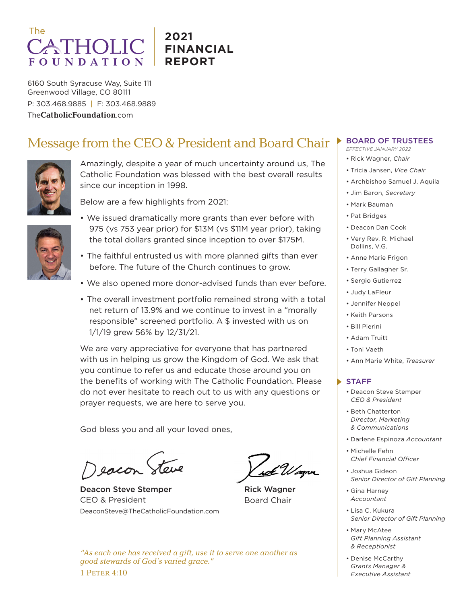# The **ATHOLI FOUNDATION**

## **2021 FINANCIAL REPORT**

6160 South Syracuse Way, Suite 111 Greenwood Village, CO 80111 P: 303.468.9885 | F: 303.468.9889 The**CatholicFoundation**.com

# Message from the CEO & President and Board Chair



Amazingly, despite a year of much uncertainty around us, The Catholic Foundation was blessed with the best overall results since our inception in 1998.



Below are a few highlights from 2021:

- 
- We issued dramatically more grants than ever before with 975 (vs 753 year prior) for \$13M (vs \$11M year prior), taking the total dollars granted since inception to over \$175M.
- The faithful entrusted us with more planned gifts than ever before. The future of the Church continues to grow.
- We also opened more donor-advised funds than ever before.
- The overall investment portfolio remained strong with a total net return of 13.9% and we continue to invest in a "morally responsible" screened portfolio. A \$ invested with us on 1/1/19 grew 56% by 12/31/21.

We are very appreciative for everyone that has partnered with us in helping us grow the Kingdom of God. We ask that you continue to refer us and educate those around you on the benefits of working with The Catholic Foundation. Please do not ever hesitate to reach out to us with any questions or prayer requests, we are here to serve you.

God bless you and all your loved ones,

eacon Steve

Deacon Steve Stemper CEO & President DeaconSteve@TheCatholicFoundation.com

Rick Wagner Board Chair

*"As each one has received a gift, use it to serve one another as good stewards of God's varied grace."* 1 Peter 4:10

### BOARD OF TRUSTEES

- *EFFECTIVE JANUARY 2022*
- Rick Wagner, *Chair*
- Tricia Jansen, *Vice Chair*
- Archbishop Samuel J. Aquila
- Jim Baron, *Secretary*
- Mark Bauman
- Pat Bridges
- Deacon Dan Cook
- Very Rev. R. Michael Dollins, V.G.
- Anne Marie Frigon
- Terry Gallagher Sr.
- Sergio Gutierrez
- Judy LaFleur
- Jennifer Neppel
- Keith Parsons
- Bill Pierini
- Adam Truitt
- Toni Vaeth
- Ann Marie White, *Treasurer*

#### STAFF

- Deacon Steve Stemper *CEO & President*
- Beth Chatterton *Director, Marketing & Communications*
- Darlene Espinoza *Accountant*
- Michelle Fehn *Chief Financial Officer*
- Joshua Gideon *Senior Director of Gift Planning*
- Gina Harney *Accountant*
- Lisa C. Kukura *Senior Director of Gift Planning*
- Mary McAtee *Gift Planning Assistant & Receptionist*
- Denise McCarthy *Grants Manager & Executive Assistant*